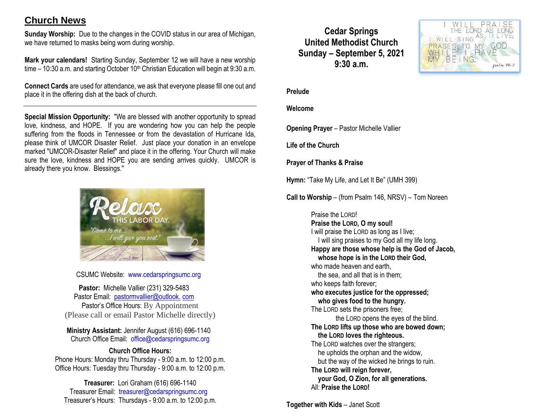# **Church News**

**Sunday Worship:** Due to the changes in the COVID status in our area of Michigan, we have returned to masks being worn during worship.

**Mark your calendars!** Starting Sunday, September 12 we will have a new worship time  $-10:30$  a.m. and starting October 10<sup>th</sup> Christian Education will begin at 9:30 a.m.

**Connect Cards** are used for attendance, we ask that everyone please fill one out and place it in the offering dish at the back of church.

**Special Mission Opportunity:** "We are blessed with another opportunity to spread love, kindness, and HOPE. If you are wondering how you can help the people suffering from the floods in Tennessee or from the devastation of Hurricane Ida, please think of UMCOR Disaster Relief. Just place your donation in an envelope marked "UMCOR-Disaster Relief" and place it in the offering. Your Church will make sure the love, kindness and HOPE you are sending arrives quickly. UMCOR is already there you know. Blessings."



CSUMC Website: [www.cedarspringsumc.org](http://www.cedarspringsumc.org/)

**Pastor:** Michelle Vallier (231) 329-5483 Pastor Email: [pastormvallier@outlook.](mailto:pastormvallier@outlook.com) com Pastor's Office Hours: By Appointment (Please call or email Pastor Michelle directly)

**Ministry Assistant:** Jennifer August (616) 696-1140 Church Office Email: [office@cedarspringsumc.org](mailto:office@cedarspringsumc.org)

#### **Church Office Hours:**

Phone Hours: Monday thru Thursday - 9:00 a.m. to 12:00 p.m. Office Hours: Tuesday thru Thursday - 9:00 a.m. to 12:00 p.m.

**Treasurer:** Lori Graham (616) 696-1140 Treasurer Email: treasurer@cedarspringsumc.org Treasurer's Hours: Thursdays - 9:00 a.m. to 12:00 p.m.

## **Cedar Springs United Methodist Church Sunday – September 5, 2021 9:30 a.m.**



#### **Prelude**

#### **Welcome**

**Opening Prayer** – Pastor Michelle Vallier

**Life of the Church**

**Prayer of Thanks & Praise**

**Hymn:** "Take My Life, and Let It Be" (UMH 399)

**Call to Worship** – (from Psalm 146, NRSV) – Tom Noreen

Praise the LORD! **Praise the LORD, O my soul!** I will praise the LORD as long as I live; I will sing praises to my God all my life long. **Happy are those whose help is the God of Jacob, whose hope is in the LORD their God,** who made heaven and earth. the sea, and all that is in them; who keeps faith forever; **who executes justice for the oppressed; who gives food to the hungry.** The LORD sets the prisoners free; the LORD opens the eyes of the blind. **The LORD lifts up those who are bowed down; the LORD loves the righteous.** The LORD watches over the strangers; he upholds the orphan and the widow, but the way of the wicked he brings to ruin. **The LORD will reign forever, your God, O Zion, for all generations.** All: **Praise the LORD!**

**Together with Kids** – Janet Scott